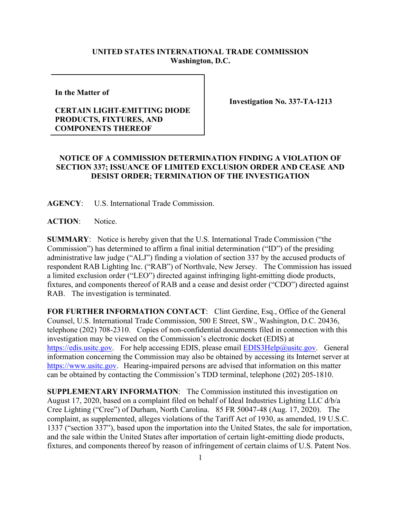## **UNITED STATES INTERNATIONAL TRADE COMMISSION Washington, D.C.**

**In the Matter of** 

## **CERTAIN LIGHT-EMITTING DIODE PRODUCTS, FIXTURES, AND COMPONENTS THEREOF**

**Investigation No. 337-TA-1213**

## **NOTICE OF A COMMISSION DETERMINATION FINDING A VIOLATION OF SECTION 337; ISSUANCE OF LIMITED EXCLUSION ORDER AND CEASE AND DESIST ORDER; TERMINATION OF THE INVESTIGATION**

**AGENCY**: U.S. International Trade Commission.

ACTION: Notice.

**SUMMARY**: Notice is hereby given that the U.S. International Trade Commission ("the Commission") has determined to affirm a final initial determination ("ID") of the presiding administrative law judge ("ALJ") finding a violation of section 337 by the accused products of respondent RAB Lighting Inc. ("RAB") of Northvale, New Jersey. The Commission has issued a limited exclusion order ("LEO") directed against infringing light-emitting diode products, fixtures, and components thereof of RAB and a cease and desist order ("CDO") directed against RAB. The investigation is terminated.

**FOR FURTHER INFORMATION CONTACT**: Clint Gerdine, Esq., Office of the General Counsel, U.S. International Trade Commission, 500 E Street, SW., Washington, D.C. 20436, telephone (202) 708-2310. Copies of non-confidential documents filed in connection with this investigation may be viewed on the Commission's electronic docket (EDIS) at [https://edis.usitc.gov.](https://edis.usitc.gov/) For help accessing EDIS, please email [EDIS3Help@usitc.gov.](mailto:EDIS3Help@usitc.gov) General information concerning the Commission may also be obtained by accessing its Internet server at [https://www.usitc.gov.](https://www.usitc.gov/) Hearing-impaired persons are advised that information on this matter can be obtained by contacting the Commission's TDD terminal, telephone (202) 205-1810.

**SUPPLEMENTARY INFORMATION**: The Commission instituted this investigation on August 17, 2020, based on a complaint filed on behalf of Ideal Industries Lighting LLC d/b/a Cree Lighting ("Cree") of Durham, North Carolina. 85 FR 50047-48 (Aug. 17, 2020). The complaint, as supplemented, alleges violations of the Tariff Act of 1930, as amended, 19 U.S.C. 1337 ("section 337"), based upon the importation into the United States, the sale for importation, and the sale within the United States after importation of certain light-emitting diode products, fixtures, and components thereof by reason of infringement of certain claims of U.S. Patent Nos.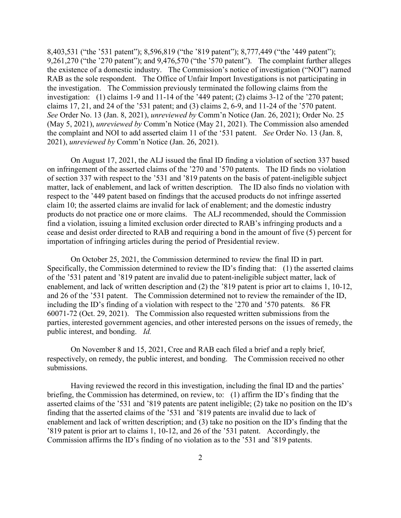8,403,531 ("the '531 patent"); 8,596,819 ("the '819 patent"); 8,777,449 ("the '449 patent"); 9,261,270 ("the '270 patent"); and 9,476,570 ("the '570 patent"). The complaint further alleges the existence of a domestic industry. The Commission's notice of investigation ("NOI") named RAB as the sole respondent. The Office of Unfair Import Investigations is not participating in the investigation. The Commission previously terminated the following claims from the investigation: (1) claims 1-9 and 11-14 of the '449 patent; (2) claims 3-12 of the '270 patent; claims 17, 21, and 24 of the '531 patent; and (3) claims 2, 6-9, and 11-24 of the '570 patent. *See* Order No. 13 (Jan. 8, 2021), *unreviewed by* Comm'n Notice (Jan. 26, 2021); Order No. 25 (May 5, 2021), *unreviewed by* Comm'n Notice (May 21, 2021). The Commission also amended the complaint and NOI to add asserted claim 11 of the '531 patent. *See* Order No. 13 (Jan. 8, 2021), *unreviewed by* Comm'n Notice (Jan. 26, 2021).

On August 17, 2021, the ALJ issued the final ID finding a violation of section 337 based on infringement of the asserted claims of the '270 and '570 patents. The ID finds no violation of section 337 with respect to the '531 and '819 patents on the basis of patent-ineligible subject matter, lack of enablement, and lack of written description. The ID also finds no violation with respect to the '449 patent based on findings that the accused products do not infringe asserted claim 10; the asserted claims are invalid for lack of enablement; and the domestic industry products do not practice one or more claims. The ALJ recommended, should the Commission find a violation, issuing a limited exclusion order directed to RAB's infringing products and a cease and desist order directed to RAB and requiring a bond in the amount of five (5) percent for importation of infringing articles during the period of Presidential review.

On October 25, 2021, the Commission determined to review the final ID in part. Specifically, the Commission determined to review the ID's finding that: (1) the asserted claims of the '531 patent and '819 patent are invalid due to patent-ineligible subject matter, lack of enablement, and lack of written description and (2) the '819 patent is prior art to claims 1, 10-12, and 26 of the '531 patent. The Commission determined not to review the remainder of the ID, including the ID's finding of a violation with respect to the '270 and '570 patents. 86 FR 60071-72 (Oct. 29, 2021). The Commission also requested written submissions from the parties, interested government agencies, and other interested persons on the issues of remedy, the public interest, and bonding. *Id.*

On November 8 and 15, 2021, Cree and RAB each filed a brief and a reply brief, respectively, on remedy, the public interest, and bonding. The Commission received no other submissions.

Having reviewed the record in this investigation, including the final ID and the parties' briefing, the Commission has determined, on review, to: (1) affirm the ID's finding that the asserted claims of the '531 and '819 patents are patent ineligible; (2) take no position on the ID's finding that the asserted claims of the '531 and '819 patents are invalid due to lack of enablement and lack of written description; and (3) take no position on the ID's finding that the '819 patent is prior art to claims 1, 10-12, and 26 of the '531 patent. Accordingly, the Commission affirms the ID's finding of no violation as to the '531 and '819 patents.